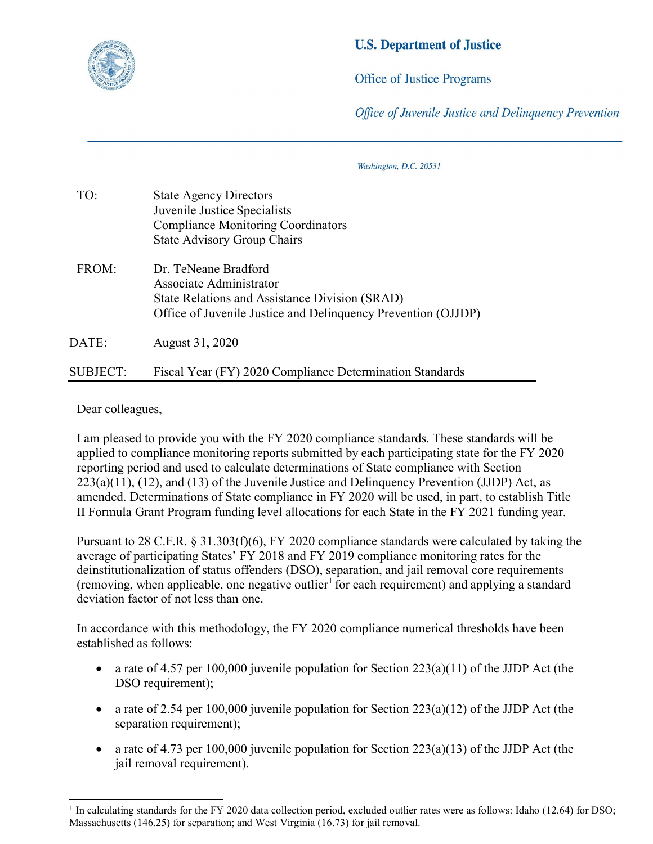

## **U.S. Department of Justice**

**Office of Justice Programs** 

Office of Juvenile Justice and Delinguency Prevention

Washington, D.C. 20531

| TO:      | <b>State Agency Directors</b><br>Juvenile Justice Specialists<br><b>Compliance Monitoring Coordinators</b><br><b>State Advisory Group Chairs</b>                   |
|----------|--------------------------------------------------------------------------------------------------------------------------------------------------------------------|
| FROM:    | Dr. TeNeane Bradford<br>Associate Administrator<br>State Relations and Assistance Division (SRAD)<br>Office of Juvenile Justice and Delinquency Prevention (OJJDP) |
| DATE:    | August 31, 2020                                                                                                                                                    |
| SUBJECT: | Fiscal Year (FY) 2020 Compliance Determination Standards                                                                                                           |

Dear colleagues,

I am pleased to provide you with the FY 2020 compliance standards. These standards will be applied to compliance monitoring reports submitted by each participating state for the FY 2020 reporting period and used to calculate determinations of State compliance with Section  $223(a)(11)$ ,  $(12)$ , and  $(13)$  of the Juvenile Justice and Delinquency Prevention (JJDP) Act, as amended. Determinations of State compliance in FY 2020 will be used, in part, to establish Title II Formula Grant Program funding level allocations for each State in the FY 2021 funding year.

Pursuant to 28 C.F.R. § 31.303(f)(6), FY 2020 compliance standards were calculated by taking the average of participating States' FY 2018 and FY 2019 compliance monitoring rates for the deinstitutionalization of status offenders (DSO), separation, and jail removal core requirements (removing, when applicable, one negative outlier<sup>[1](#page-0-0)</sup> for each requirement) and applying a standard deviation factor of not less than one.

In accordance with this methodology, the FY 2020 compliance numerical thresholds have been established as follows:

- a rate of 4.57 per 100,000 juvenile population for Section  $223(a)(11)$  of the JJDP Act (the DSO requirement):
- a rate of 2.54 per 100,000 juvenile population for Section  $223(a)(12)$  of the JJDP Act (the separation requirement);
- a rate of 4.73 per 100,000 juvenile population for Section 223(a)(13) of the JJDP Act (the jail removal requirement).

<span id="page-0-0"></span><sup>&</sup>lt;sup>1</sup> In calculating standards for the FY 2020 data collection period, excluded outlier rates were as follows: Idaho (12.64) for DSO; Massachusetts (146.25) for separation; and West Virginia (16.73) for jail removal.